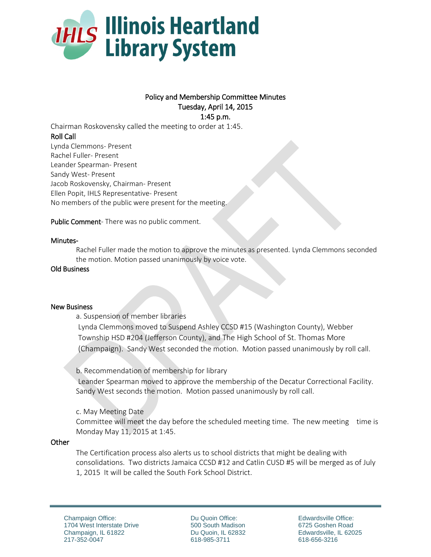

# Policy and Membership Committee Minutes Tuesday, April 14, 2015 1:45 p.m.

Chairman Roskovensky called the meeting to order at 1:45. Roll Call Lynda Clemmons- Present Rachel Fuller- Present Leander Spearman- Present Sandy West- Present Jacob Roskovensky, Chairman- Present Ellen Popit, IHLS Representative- Present No members of the public were present for the meeting.

Public Comment- There was no public comment.

## Minutes-

Rachel Fuller made the motion to approve the minutes as presented. Lynda Clemmons seconded the motion. Motion passed unanimously by voice vote.

## Old Business

#### New Business

a. Suspension of member libraries

Lynda Clemmons moved to Suspend Ashley CCSD #15 (Washington County), Webber Township HSD #204 (Jefferson County), and The High School of St. Thomas More (Champaign). Sandy West seconded the motion. Motion passed unanimously by roll call.

b. Recommendation of membership for library

Leander Spearman moved to approve the membership of the Decatur Correctional Facility. Sandy West seconds the motion. Motion passed unanimously by roll call.

c. May Meeting Date

Committee will meet the day before the scheduled meeting time. The new meeting time is Monday May 11, 2015 at 1:45.

#### **Other**

The Certification process also alerts us to school districts that might be dealing with consolidations. Two districts Jamaica CCSD #12 and Catlin CUSD #5 will be merged as of July 1, 2015 It will be called the South Fork School District.

Du Quoin Office: 500 South Madison Du Quoin, IL 62832 618-985-3711

Edwardsville Office: 6725 Goshen Road Edwardsville, IL 62025 618-656-3216